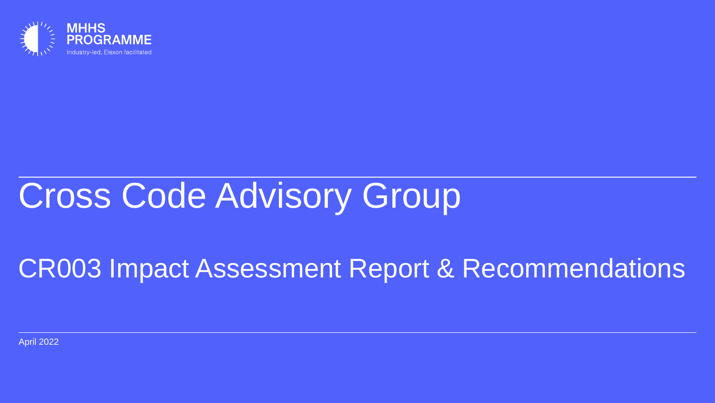

# Cross Code Advisory Group

# CR003 Impact Assessment Report & Recommendations

April 2022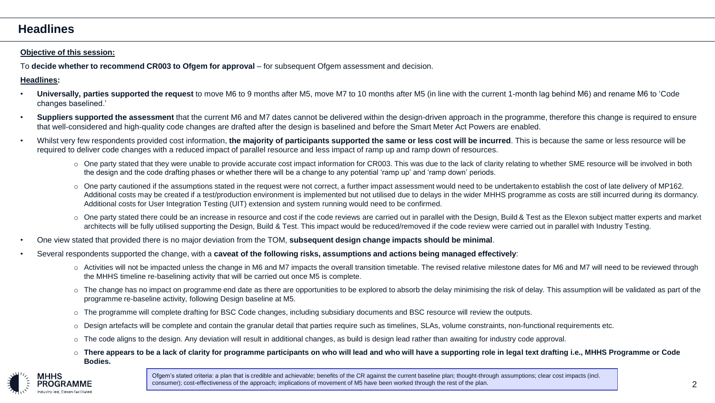### **Headlines**

#### **Objective of this session:**

To **decide whether to recommend CR003 to Ofgem for approval** – for subsequent Ofgem assessment and decision.

#### **Headlines:**

- **Universally, parties supported the request** to move M6 to 9 months after M5, move M7 to 10 months after M5 (in line with the current 1-month lag behind M6) and rename M6 to 'Code changes baselined.'
- **Suppliers supported the assessment** that the current M6 and M7 dates cannot be delivered within the design-driven approach in the programme, therefore this change is required to ensure that well-considered and high-quality code changes are drafted after the design is baselined and before the Smart Meter Act Powers are enabled.
- Whilst very few respondents provided cost information, **the majority of participants supported the same or less cost will be incurred**. This is because the same or less resource will be required to deliver code changes with a reduced impact of parallel resource and less impact of ramp up and ramp down of resources.
	- One party stated that they were unable to provide accurate cost impact information for CR003. This was due to the lack of clarity relating to whether SME resource will be involved in both the design and the code drafting phases or whether there will be a change to any potential 'ramp up' and 'ramp down' periods.
	- $\circ$  One party cautioned if the assumptions stated in the request were not correct, a further impact assessment would need to be undertaken to establish the cost of late delivery of MP162. Additional costs may be created if a test/production environment is implemented but not utilised due to delays in the wider MHHS programme as costs are still incurred during its dormancy. Additional costs for User Integration Testing (UIT) extension and system running would need to be confirmed.
	- $\circ$  One party stated there could be an increase in resource and cost if the code reviews are carried out in parallel with the Design, Build & Test as the Elexon subject matter experts and market architects will be fully utilised supporting the Design, Build & Test. This impact would be reduced/removed if the code review were carried out in parallel with Industry Testing.
- One view stated that provided there is no major deviation from the TOM, **subsequent design change impacts should be minimal**.
- Several respondents supported the change, with a **caveat of the following risks, assumptions and actions being managed effectively**:
	- Activities will not be impacted unless the change in M6 and M7 impacts the overall transition timetable. The revised relative milestone dates for M6 and M7 will need to be reviewed through the MHHS timeline re-baselining activity that will be carried out once M5 is complete.
	- o The change has no impact on programme end date as there are opportunities to be explored to absorb the delay minimising the risk of delay. This assumption will be validated as part of the programme re-baseline activity, following Design baseline at M5.
	- o The programme will complete drafting for BSC Code changes, including subsidiary documents and BSC resource will review the outputs.
	- o Design artefacts will be complete and contain the granular detail that parties require such as timelines, SLAs, volume constraints, non-functional requirements etc.
	- $\circ$  The code aligns to the design. Any deviation will result in additional changes, as build is design lead rather than awaiting for industry code approval.
	- o **There appears to be a lack of clarity for programme participants on who will lead and who will have a supporting role in legal text drafting i.e., MHHS Programme or Code Bodies.**



consumer); cost-effectiveness of the approach; implications of movement of M5 have been worked through the rest of the plan. 2 and 2 and 2 and 2 and 2 and 2 and 2 and 2 and 2 and 2 and 2 and 2 and 2 and 2 and 2 and 2 and 2 Ofgem's stated criteria: a plan that is credible and achievable; benefits of the CR against the current baseline plan; thought-through assumptions; clear cost impacts (incl.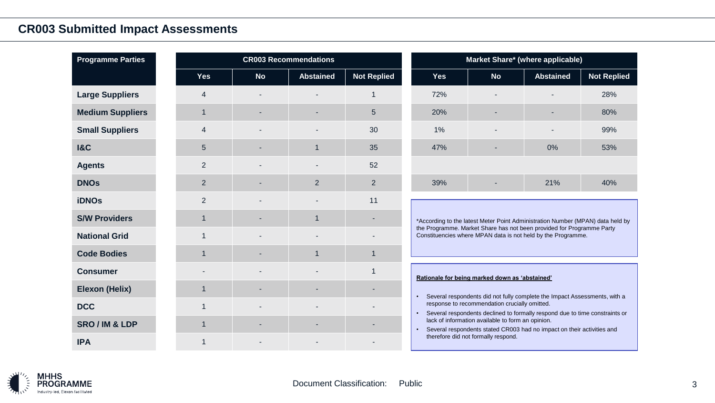## **CR003 Submitted Impact Assessments**

| <b>Programme Parties</b> | <b>CR003 Recommendations</b> |           |                  | Market Share* (where applicable) |                                                                                                                                                                                                                                     |                                                                                                                             |                  |                    |  |
|--------------------------|------------------------------|-----------|------------------|----------------------------------|-------------------------------------------------------------------------------------------------------------------------------------------------------------------------------------------------------------------------------------|-----------------------------------------------------------------------------------------------------------------------------|------------------|--------------------|--|
|                          | <b>Yes</b>                   | <b>No</b> | <b>Abstained</b> | <b>Not Replied</b>               | <b>Yes</b>                                                                                                                                                                                                                          | <b>No</b>                                                                                                                   | <b>Abstained</b> | <b>Not Replied</b> |  |
| <b>Large Suppliers</b>   | $\boldsymbol{4}$             |           |                  |                                  | 72%                                                                                                                                                                                                                                 |                                                                                                                             |                  | 28%                |  |
| <b>Medium Suppliers</b>  | 1                            |           |                  | 5                                | 20%                                                                                                                                                                                                                                 |                                                                                                                             |                  | 80%                |  |
| <b>Small Suppliers</b>   | $\overline{4}$               |           |                  | 30                               | 1%                                                                                                                                                                                                                                  |                                                                                                                             |                  | 99%                |  |
| <b>1&amp;C</b>           | 5                            |           | $\overline{1}$   | 35                               | 47%                                                                                                                                                                                                                                 |                                                                                                                             | 0%               | 53%                |  |
| <b>Agents</b>            | 2                            |           |                  | 52                               |                                                                                                                                                                                                                                     |                                                                                                                             |                  |                    |  |
| <b>DNOs</b>              | 2                            |           | $\overline{2}$   | 2                                | 39%                                                                                                                                                                                                                                 |                                                                                                                             | 21%              | 40%                |  |
| <b>iDNOs</b>             | 2                            |           |                  | 11                               | *According to the latest Meter Point Administration Number (MPAN) data held by                                                                                                                                                      |                                                                                                                             |                  |                    |  |
| <b>S/W Providers</b>     | $\overline{1}$               |           | $\mathbf 1$      |                                  |                                                                                                                                                                                                                                     |                                                                                                                             |                  |                    |  |
| <b>National Grid</b>     | $\overline{1}$               |           |                  |                                  | the Programme. Market Share has not been provided for Programme Party<br>Constituencies where MPAN data is not held by the Programme.                                                                                               |                                                                                                                             |                  |                    |  |
| <b>Code Bodies</b>       | -1                           |           | $\overline{1}$   | 1                                |                                                                                                                                                                                                                                     |                                                                                                                             |                  |                    |  |
| <b>Consumer</b>          |                              |           |                  | 1                                | Rationale for being marked down as 'abstained'                                                                                                                                                                                      |                                                                                                                             |                  |                    |  |
| <b>Elexon (Helix)</b>    | $\overline{1}$               |           |                  |                                  | Several respondents did not fully complete the Impact Assessments, with a<br>$\bullet$<br>response to recommendation crucially omitted.<br>Several respondents declined to formally respond due to time constraints or<br>$\bullet$ |                                                                                                                             |                  |                    |  |
| <b>DCC</b>               |                              |           |                  |                                  |                                                                                                                                                                                                                                     |                                                                                                                             |                  |                    |  |
| <b>SRO/IM &amp; LDP</b>  | $\overline{1}$               |           |                  |                                  | $\bullet$                                                                                                                                                                                                                           | lack of information available to form an opinion.<br>Several respondents stated CR003 had no impact on their activities and |                  |                    |  |
| <b>IPA</b>               |                              |           |                  |                                  | therefore did not formally respond.                                                                                                                                                                                                 |                                                                                                                             |                  |                    |  |

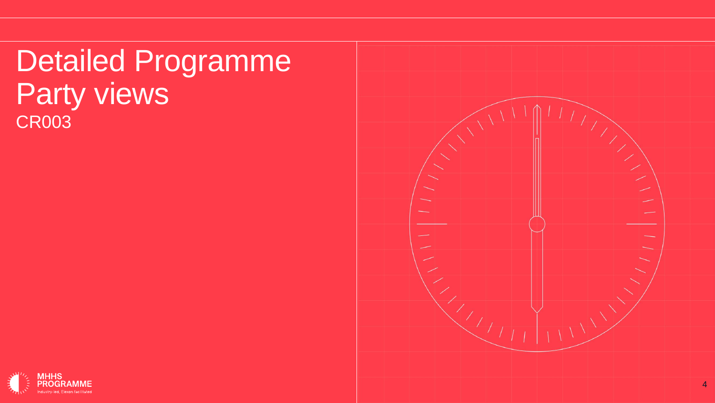Detailed Programme Party views CR003



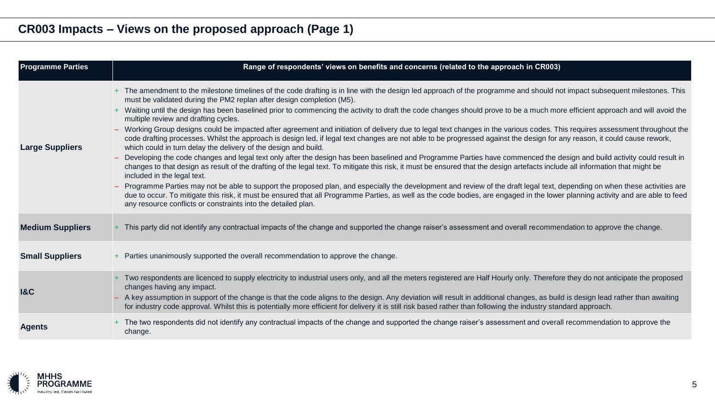| <b>Programme Parties</b> | Range of respondents' views on benefits and concerns (related to the approach in CR003)                                                                                                                                                                                                                                                                                                                                                                                                                                                                                                                                                                                                                                                                                                                                                                                                                                                                                                                                                                                                                                                                                                                                                                                                                                                                                                                                                                                                                                                                                                                                                                                                                                                   |
|--------------------------|-------------------------------------------------------------------------------------------------------------------------------------------------------------------------------------------------------------------------------------------------------------------------------------------------------------------------------------------------------------------------------------------------------------------------------------------------------------------------------------------------------------------------------------------------------------------------------------------------------------------------------------------------------------------------------------------------------------------------------------------------------------------------------------------------------------------------------------------------------------------------------------------------------------------------------------------------------------------------------------------------------------------------------------------------------------------------------------------------------------------------------------------------------------------------------------------------------------------------------------------------------------------------------------------------------------------------------------------------------------------------------------------------------------------------------------------------------------------------------------------------------------------------------------------------------------------------------------------------------------------------------------------------------------------------------------------------------------------------------------------|
| <b>Large Suppliers</b>   | + The amendment to the milestone timelines of the code drafting is in line with the design led approach of the programme and should not impact subsequent milestones. This<br>must be validated during the PM2 replan after design completion (M5).<br>+ Waiting until the design has been baselined prior to commencing the activity to draft the code changes should prove to be a much more efficient approach and will avoid the<br>multiple review and drafting cycles.<br>- Working Group designs could be impacted after agreement and initiation of delivery due to legal text changes in the various codes. This requires assessment throughout the<br>code drafting processes. Whilst the approach is design led, if legal text changes are not able to be progressed against the design for any reason, it could cause rework,<br>which could in turn delay the delivery of the design and build.<br>- Developing the code changes and legal text only after the design has been baselined and Programme Parties have commenced the design and build activity could result in<br>changes to that design as result of the drafting of the legal text. To mitigate this risk, it must be ensured that the design artefacts include all information that might be<br>included in the legal text.<br>Programme Parties may not be able to support the proposed plan, and especially the development and review of the draft legal text, depending on when these activities are<br>due to occur. To mitigate this risk, it must be ensured that all Programme Parties, as well as the code bodies, are engaged in the lower planning activity and are able to feed<br>any resource conflicts or constraints into the detailed plan. |
| <b>Medium Suppliers</b>  | + This party did not identify any contractual impacts of the change and supported the change raiser's assessment and overall recommendation to approve the change.                                                                                                                                                                                                                                                                                                                                                                                                                                                                                                                                                                                                                                                                                                                                                                                                                                                                                                                                                                                                                                                                                                                                                                                                                                                                                                                                                                                                                                                                                                                                                                        |
| <b>Small Suppliers</b>   | + Parties unanimously supported the overall recommendation to approve the change.                                                                                                                                                                                                                                                                                                                                                                                                                                                                                                                                                                                                                                                                                                                                                                                                                                                                                                                                                                                                                                                                                                                                                                                                                                                                                                                                                                                                                                                                                                                                                                                                                                                         |
| <b>1&amp;C</b>           | + Two respondents are licenced to supply electricity to industrial users only, and all the meters registered are Half Hourly only. Therefore they do not anticipate the proposed<br>changes having any impact.<br>- A key assumption in support of the change is that the code aligns to the design. Any deviation will result in additional changes, as build is design lead rather than awaiting<br>for industry code approval. Whilst this is potentially more efficient for delivery it is still risk based rather than following the industry standard approach.                                                                                                                                                                                                                                                                                                                                                                                                                                                                                                                                                                                                                                                                                                                                                                                                                                                                                                                                                                                                                                                                                                                                                                     |
| <b>Agents</b>            | + The two respondents did not identify any contractual impacts of the change and supported the change raiser's assessment and overall recommendation to approve the<br>change.                                                                                                                                                                                                                                                                                                                                                                                                                                                                                                                                                                                                                                                                                                                                                                                                                                                                                                                                                                                                                                                                                                                                                                                                                                                                                                                                                                                                                                                                                                                                                            |

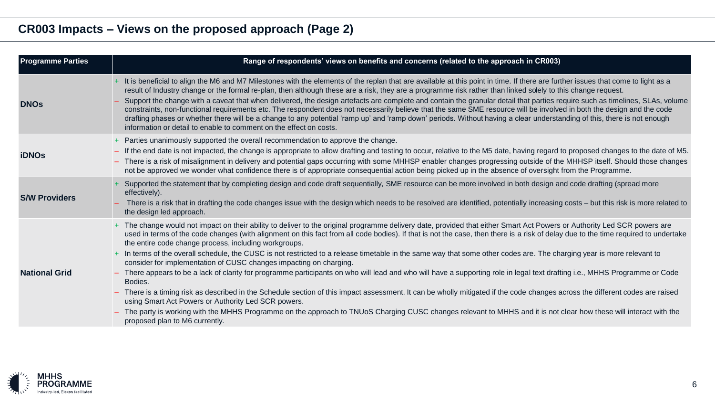| <b>Programme Parties</b> | Range of respondents' views on benefits and concerns (related to the approach in CR003)                                                                                                                                                                                                                                                                                                                                                                                                                                                                                                                |
|--------------------------|--------------------------------------------------------------------------------------------------------------------------------------------------------------------------------------------------------------------------------------------------------------------------------------------------------------------------------------------------------------------------------------------------------------------------------------------------------------------------------------------------------------------------------------------------------------------------------------------------------|
| <b>DNOs</b>              | + It is beneficial to align the M6 and M7 Milestones with the elements of the replan that are available at this point in time. If there are further issues that come to light as a<br>result of Industry change or the formal re-plan, then although these are a risk, they are a programme risk rather than linked solely to this change request.                                                                                                                                                                                                                                                     |
|                          | Support the change with a caveat that when delivered, the design artefacts are complete and contain the granular detail that parties require such as timelines, SLAs, volume<br>constraints, non-functional requirements etc. The respondent does not necessarily believe that the same SME resource will be involved in both the design and the code<br>drafting phases or whether there will be a change to any potential 'ramp up' and 'ramp down' periods. Without having a clear understanding of this, there is not enough<br>information or detail to enable to comment on the effect on costs. |
| <b>iDNOs</b>             | + Parties unanimously supported the overall recommendation to approve the change.<br>- If the end date is not impacted, the change is appropriate to allow drafting and testing to occur, relative to the M5 date, having regard to proposed changes to the date of M5.                                                                                                                                                                                                                                                                                                                                |
|                          | - There is a risk of misalignment in delivery and potential gaps occurring with some MHHSP enabler changes progressing outside of the MHHSP itself. Should those changes<br>not be approved we wonder what confidence there is of appropriate consequential action being picked up in the absence of oversight from the Programme.                                                                                                                                                                                                                                                                     |
| <b>S/W Providers</b>     | Supported the statement that by completing design and code draft sequentially, SME resource can be more involved in both design and code drafting (spread more<br>effectively).                                                                                                                                                                                                                                                                                                                                                                                                                        |
|                          | There is a risk that in drafting the code changes issue with the design which needs to be resolved are identified, potentially increasing costs – but this risk is more related to<br>the design led approach.                                                                                                                                                                                                                                                                                                                                                                                         |
| <b>National Grid</b>     | + The change would not impact on their ability to deliver to the original programme delivery date, provided that either Smart Act Powers or Authority Led SCR powers are<br>used in terms of the code changes (with alignment on this fact from all code bodies). If that is not the case, then there is a risk of delay due to the time required to undertake<br>the entire code change process, including workgroups.                                                                                                                                                                                |
|                          | + In terms of the overall schedule, the CUSC is not restricted to a release timetable in the same way that some other codes are. The charging year is more relevant to<br>consider for implementation of CUSC changes impacting on charging.                                                                                                                                                                                                                                                                                                                                                           |
|                          | - There appears to be a lack of clarity for programme participants on who will lead and who will have a supporting role in legal text drafting i.e., MHHS Programme or Code<br>Bodies.                                                                                                                                                                                                                                                                                                                                                                                                                 |
|                          | - There is a timing risk as described in the Schedule section of this impact assessment. It can be wholly mitigated if the code changes across the different codes are raised<br>using Smart Act Powers or Authority Led SCR powers.                                                                                                                                                                                                                                                                                                                                                                   |
|                          | The party is working with the MHHS Programme on the approach to TNUoS Charging CUSC changes relevant to MHHS and it is not clear how these will interact with the<br>proposed plan to M6 currently.                                                                                                                                                                                                                                                                                                                                                                                                    |

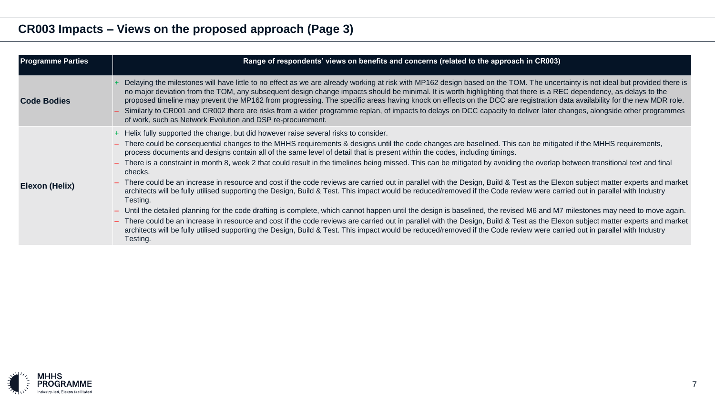| <b>Programme Parties</b> | Range of respondents' views on benefits and concerns (related to the approach in CR003)                                                                                                                                                                                                                                                                                                                                                                                                                                                                                                                                                                                                                                                                                                                                                                                                                                                                                                                                                                                                                                                                                                                                                                                                                                                                                                                                                                                                                                   |
|--------------------------|---------------------------------------------------------------------------------------------------------------------------------------------------------------------------------------------------------------------------------------------------------------------------------------------------------------------------------------------------------------------------------------------------------------------------------------------------------------------------------------------------------------------------------------------------------------------------------------------------------------------------------------------------------------------------------------------------------------------------------------------------------------------------------------------------------------------------------------------------------------------------------------------------------------------------------------------------------------------------------------------------------------------------------------------------------------------------------------------------------------------------------------------------------------------------------------------------------------------------------------------------------------------------------------------------------------------------------------------------------------------------------------------------------------------------------------------------------------------------------------------------------------------------|
| <b>Code Bodies</b>       | Delaying the milestones will have little to no effect as we are already working at risk with MP162 design based on the TOM. The uncertainty is not ideal but provided there is<br>no major deviation from the TOM, any subsequent design change impacts should be minimal. It is worth highlighting that there is a REC dependency, as delays to the<br>proposed timeline may prevent the MP162 from progressing. The specific areas having knock on effects on the DCC are registration data availability for the new MDR role.<br>- Similarly to CR001 and CR002 there are risks from a wider programme replan, of impacts to delays on DCC capacity to deliver later changes, alongside other programmes<br>of work, such as Network Evolution and DSP re-procurement.                                                                                                                                                                                                                                                                                                                                                                                                                                                                                                                                                                                                                                                                                                                                                 |
| Elexon (Helix)           | + Helix fully supported the change, but did however raise several risks to consider.<br>- There could be consequential changes to the MHHS requirements & designs until the code changes are baselined. This can be mitigated if the MHHS requirements,<br>process documents and designs contain all of the same level of detail that is present within the codes, including timings.<br>- There is a constraint in month 8, week 2 that could result in the timelines being missed. This can be mitigated by avoiding the overlap between transitional text and final<br>checks.<br>- There could be an increase in resource and cost if the code reviews are carried out in parallel with the Design, Build & Test as the Elexon subject matter experts and market<br>architects will be fully utilised supporting the Design, Build & Test. This impact would be reduced/removed if the Code review were carried out in parallel with Industry<br>Testing.<br>- Until the detailed planning for the code drafting is complete, which cannot happen until the design is baselined, the revised M6 and M7 milestones may need to move again.<br>- There could be an increase in resource and cost if the code reviews are carried out in parallel with the Design, Build & Test as the Elexon subject matter experts and market<br>architects will be fully utilised supporting the Design, Build & Test. This impact would be reduced/removed if the Code review were carried out in parallel with Industry<br>Testing. |